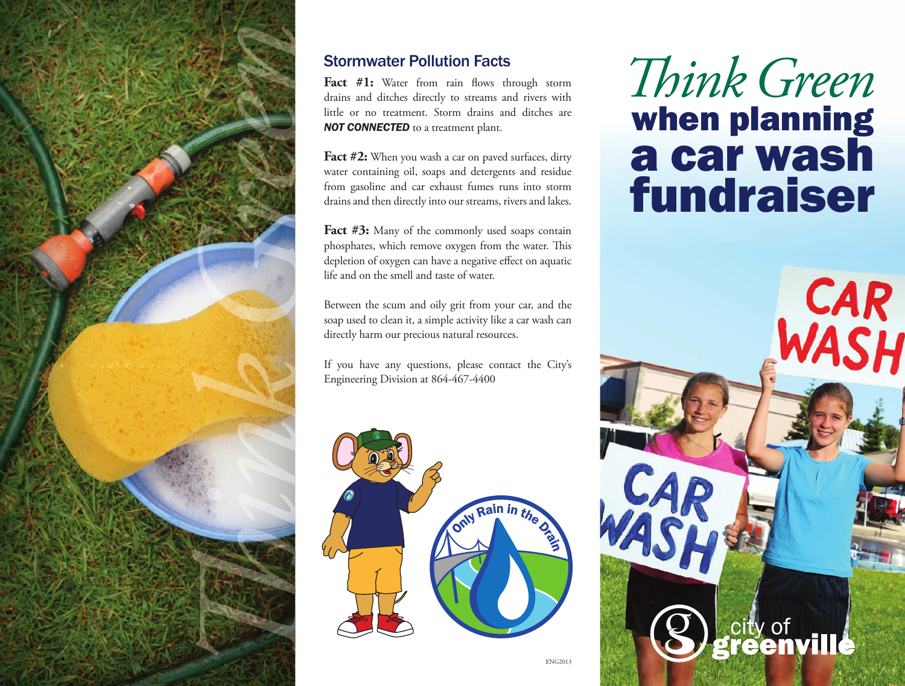

#### Stormwater Pollution Facts

**Fact** #1: Water from rain flows through storm drains and ditches directly to streams and rivers with little or no treatment. Storm drains and ditches are **NOT CONNECTED** to a treatment plant.

Fact #2: When you wash a car on paved surfaces, dirty water containing oil, soaps and detergents and residue from gasoline and car exhaust fumes runs into storm drains and then directly into our streams, rivers and lakes.

**Fact #3:** Many of the commonly used soaps contain phosphates, which remove oxygen from the water. This depletion of oxygen can have a negative effect on aquatic life and on the smell and taste of water.

Between the scum and oily grit from your car, and the soap used to clean it, a simple activity like a car wash can directly harm our precious natural resources.

If you have any questions, please contact the City's Engineering Division at 864-467-4400



# $Think$  *Green* when planning a car wash fundraiser

CAR

city of<br>**reenville**